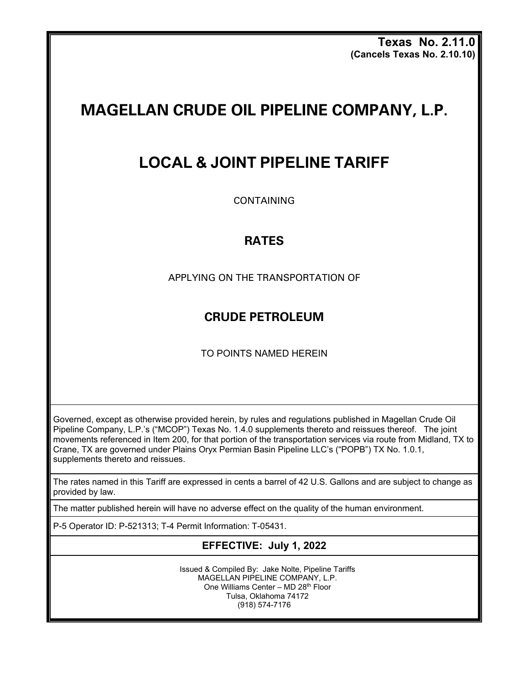**Texas No. 2.11.0 (Cancels Texas No. 2.10.10)**

# **MAGELLAN CRUDE OIL PIPELINE COMPANY, L.P.**

## **LOCAL & JOINT PIPELINE TARIFF**

CONTAINING

### **RATES**

APPLYING ON THE TRANSPORTATION OF

### **CRUDE PETROLEUM**

TO POINTS NAMED HEREIN

Governed, except as otherwise provided herein, by rules and regulations published in Magellan Crude Oil Pipeline Company, L.P.'s ("MCOP") Texas No. 1.4.0 supplements thereto and reissues thereof. The joint movements referenced in Item 200, for that portion of the transportation services via route from Midland, TX to Crane, TX are governed under Plains Oryx Permian Basin Pipeline LLC's ("POPB") TX No. 1.0.1, supplements thereto and reissues.

The rates named in this Tariff are expressed in cents a barrel of 42 U.S. Gallons and are subject to change as provided by law.

The matter published herein will have no adverse effect on the quality of the human environment.

P-5 Operator ID: P-521313; T-4 Permit Information: T-05431.

#### **EFFECTIVE: July 1, 2022**

Issued & Compiled By: Jake Nolte, Pipeline Tariffs MAGELLAN PIPELINE COMPANY, L.P. One Williams Center – MD 28th Floor Tulsa, Oklahoma 74172 (918) 574-7176